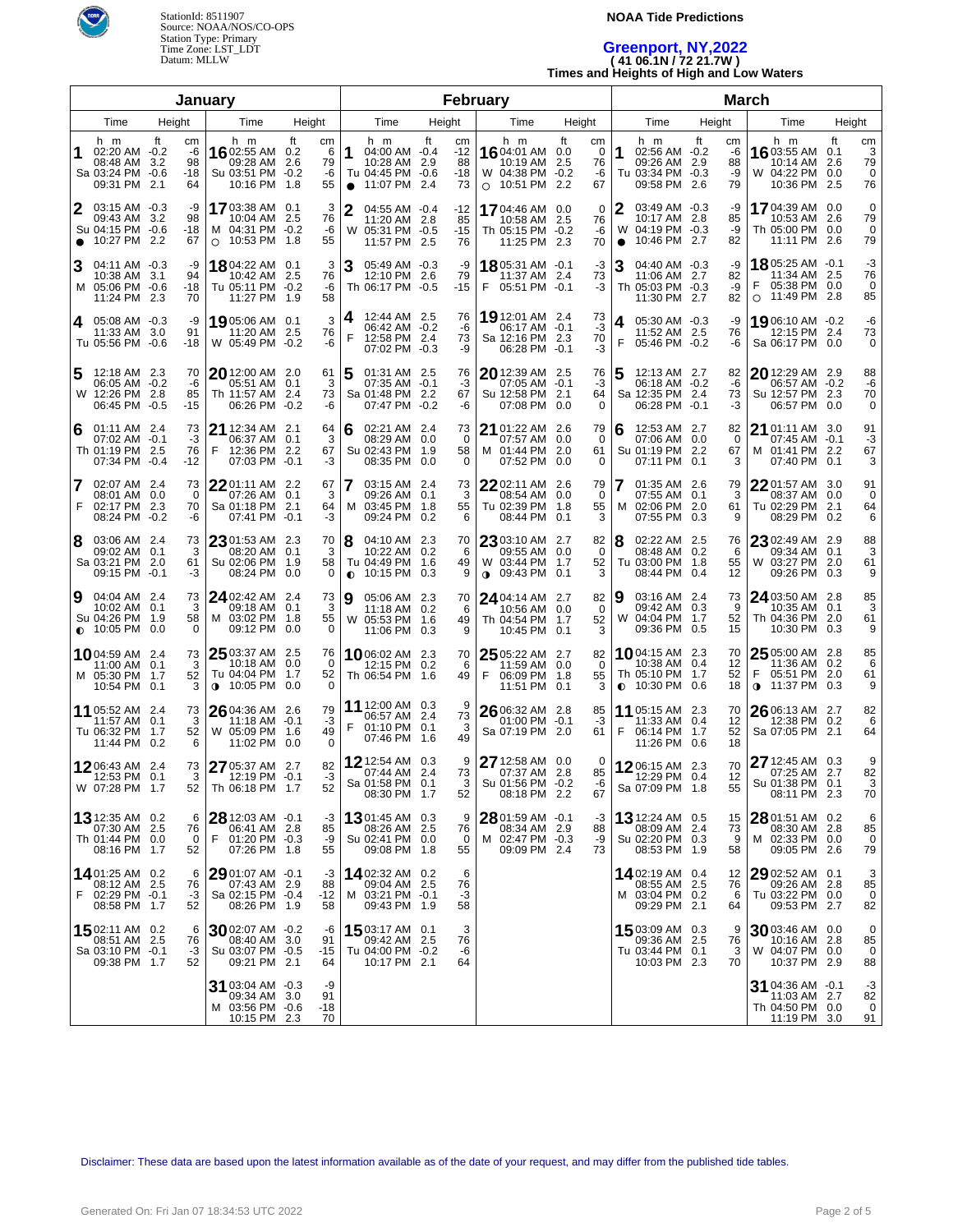

### **NOAA Tide Predictions**

# **Greenport, NY,2022 ( 41 06.1N / 72 21.7W )**

**Times and Heights of High and Low Waters**

|                |                                                                           |                                   | <b>January</b>                                                                |                                                  |                |                                                                          |        |                                  | February                                                                     |                                        | <b>March</b>        |                                                                                     |        |                            |                                                                                   |        |                              |  |  |
|----------------|---------------------------------------------------------------------------|-----------------------------------|-------------------------------------------------------------------------------|--------------------------------------------------|----------------|--------------------------------------------------------------------------|--------|----------------------------------|------------------------------------------------------------------------------|----------------------------------------|---------------------|-------------------------------------------------------------------------------------|--------|----------------------------|-----------------------------------------------------------------------------------|--------|------------------------------|--|--|
| Height<br>Time |                                                                           |                                   | Time                                                                          | Height                                           |                | Time                                                                     | Height |                                  | Time                                                                         | Height                                 |                     | Time                                                                                | Height |                            | Time                                                                              | Height |                              |  |  |
|                | h m<br>02:20 AM -0.2<br>08:48 AM 3.2<br>Sa 03:24 PM -0.6<br>09:31 PM 2.1  | ft<br>сm<br>-6<br>98<br>-18<br>64 | h m<br>1602:55 AM 0.2<br>09:28 AM<br>Su 03:51 PM<br>10:16 PM 1.8              | ft<br>cm<br>6<br>79<br>2.6<br>-6<br>$-0.2$<br>55 | 1<br>$\bullet$ | h m<br>04:00 AM -0.4<br>10:28 AM 2.9<br>Tu 04:45 PM -0.6<br>11:07 PM 2.4 | ft     | cm<br>$-12$<br>88<br>$-18$<br>73 | h m<br>1604:01 AM 0.0<br>10:19 AM<br>W 04:38 PM -0.2<br>$\circ$ 10:51 PM 2.2 | ft<br>cm<br>0<br>2.5<br>76<br>-6<br>67 | 1                   | h m<br>02:56 AM -0.2<br>09:26 AM 2.9<br>Tu 03:34 PM -0.3<br>09:58 PM 2.6            | ft     | сm<br>-6<br>88<br>-9<br>79 | h m<br>16 03:55 AM 0.1<br>10:14 AM 2.6<br>W 04:22 PM 0.0<br>10:36 PM 2.5          | ft     | сm<br>3<br>79<br>0<br>76     |  |  |
| 2<br>$\bullet$ | 03:15 AM -0.3<br>09:43 AM<br>Su 04:15 PM -0.6<br>10:27 PM 2.2             | -9<br>3.2<br>98<br>$-18$<br>67    | 17 03:38 AM 0.1<br>10:04 AM 2.5<br>M 04:31 PM -0.2<br>10:53 PM 1.8<br>$\circ$ | 3<br>76<br>-6<br>55                              | $\mathbf{2}$   | 04:55 AM -0.4<br>11:20 AM 2.8<br>W 05:31 PM -0.5<br>11:57 PM 2.5         |        | -12<br>85<br>$-15$<br>76         | 1704:46 AM 0.0<br>10:58 AM 2.5<br>Th 05:15 PM -0.2<br>11:25 PM 2.3           | $\mathbf 0$<br>76<br>-6<br>70          | 2<br>W<br>$\bullet$ | 03:49 AM -0.3<br>10:17 AM 2.8<br>04:19 PM -0.3<br>10:46 PM 2.7                      |        | -9<br>85<br>-9<br>82       | 1704:39 AM 0.0<br>10:53 AM 2.6<br>Th 05:00 PM 0.0<br>11:11 PM 2.6                 |        | 0<br>79<br>0<br>79           |  |  |
|                | 04:11 AM -0.3<br>10:38 AM 3.1<br>M 05:06 PM -0.6<br>11:24 PM 2.3          | -9<br>94<br>$-18$<br>70           | 1804:22 AM 0.1<br>10:42 AM 2.5<br>Tu 05:11 PM -0.2<br>11:27 PM 1.9            | 3<br>76<br>-6<br>58                              | 3              | 05:49 AM -0.3<br>12:10 PM 2.6<br>Th 06:17 PM -0.5                        |        | -9<br>79<br>$-15$                | 18 05:31 AM -0.1<br>11:37 AM 2.4<br>F 05:51 PM -0.1                          | $-3$<br>73<br>$-3$                     | 3                   | 04:40 AM -0.3<br>11:06 AM 2.7<br>Th 05:03 PM -0.3<br>11:30 PM 2.7                   |        | -9<br>82<br>-9<br>82       | 1805:25 AM -0.1<br>11:34 AM 2.5<br>05:38 PM 0.0<br>11:49 PM 2.8<br>$\circ$        |        | -3<br>76<br>0<br>85          |  |  |
| 4              | 05:08 AM -0.3<br>11:33 AM 3.0<br>Tu 05:56 PM -0.6                         | -9<br>91<br>-18                   | 19 05:06 AM  0.1<br>11:20 AM 2.5<br>W 05:49 PM -0.2                           | 3<br>76<br>-6                                    | 4<br>F         | 12:44 AM 2.5<br>06:42 AM -0.2<br>12:58 PM 2.4<br>07:02 PM -0.3           |        | 76<br>-6<br>73<br>-9             | 19 12:01 AM 2.4<br>06:17 AM -0.1<br>Sa 12:16 PM 2.3<br>06:28 PM -0.1         | 73<br>$-3$<br>70<br>$-3$               | 4<br>F              | 05:30 AM -0.3<br>11:52 AM 2.5<br>05:46 PM -0.2                                      |        | -9<br>76<br>-6             | 19 06:10 AM -0.2<br>12:15 PM 2.4<br>Sa 06:17 PM 0.0                               |        | -6<br>73<br>0                |  |  |
| 5              | 12:18 AM 2.3<br>06:05 AM -0.2<br>W 12:26 PM 2.8<br>06:45 PM -0.5          | 70<br>-6<br>85<br>$-15$           | $2012:00$ AM 2.0<br>05:51 AM 0.1<br>Th 11:57 AM 2.4<br>06:26 PM               | 61<br>3<br>73<br>$-0.2$<br>-6                    | 5              | 01:31 AM 2.5<br>07:35 AM -0.1<br>Sa 01:48 PM 2.2<br>07:47 PM -0.2        |        | 76<br>-3<br>67<br>-6             | <b>20</b> 12:39 AM 2.5<br>07:05 AM -0.1<br>Su 12:58 PM 2.1<br>07:08 PM 0.0   | 76<br>-3<br>64<br>0                    | 5                   | 12:13 AM 2.7<br>06:18 AM -0.2<br>Sa 12:35 PM 2.4<br>06:28 PM -0.1                   |        | 82<br>-6<br>73<br>-3       | 20 12:29 AM 2.9<br>06:57 AM -0.2<br>Su 12:57 PM 2.3<br>06:57 PM 0.0               |        | 88<br>-6<br>70<br>0          |  |  |
| 6              | $01:11$ AM $2.4$<br>$07:02$ AM $-0.1$<br>Th 01:19 PM 2.5<br>07:34 PM -0.4 | 73<br>-3<br>76<br>$-12$           | <b>21</b> 12:34 AM 2.1<br>06:37 AM 0.1<br>F<br>12:36 PM 2.2<br>07:03 PM       | 64<br>3<br>67<br>$-0.1$<br>-3                    | 6              | 02:21 AM 2.4<br>08:29 AM 0.0<br>Su 02:43 PM 1.9<br>08:35 PM              | 0.0    | 73<br>0<br>58<br>0               | 21 01:22 AM 2.6<br>07:57 AM 0.0<br>M 01:44 PM 2.0<br>07:52 PM 0.0            | 79<br>0<br>61<br>0                     | 6                   | 12:53 AM 2.7<br>07:06 AM 0.0<br>Su 01:19 PM 2.2<br>07:11 PM                         | 0.1    | 82<br>0<br>67<br>3         | 21 01:11 AM 3.0<br>07:45 AM -0.1<br>01:41 PM 2.2<br>м<br>07:40 PM 0.1             |        | 91<br>-3<br>67<br>3          |  |  |
| 7<br>F         | 02:07 AM 2.4<br>08:01 AM 0.0<br>02:17 PM 2.3<br>08:24 PM -0.2             | 73<br>0<br>70<br>-6               | $2201:11$ AM 2.2<br>07:26 AM 0.1<br>Sa 01:18 PM 2.1<br>07:41 PM               | 67<br>3<br>64<br>$-0.1$<br>-3                    |                | 03:15 AM 2.4<br>09:26 AM 0.1<br>M 03:45 PM 1.8<br>09:24 PM               | 0.2    | 73<br>3<br>55<br>6               | $2202:11$ AM 2.6<br>08:54 AM 0.0<br>Tu 02:39 PM 1.8<br>08:44 PM              | 79<br>0<br>55<br>3<br>0.1              | м                   | 01:35 AM 2.6<br>07:55 AM 0.1<br>02:06 PM 2.0<br>07:55 PM                            | 0.3    | 79<br>3<br>61<br>9         | 22 01:57 AM 3.0<br>08:37 AM 0.0<br>Tu 02:29 PM 2.1<br>08:29 PM 0.2                |        | 91<br>$\mathbf 0$<br>64<br>6 |  |  |
| 8              | 03:06 AM 2.4<br>09:02 AM 0.1<br>Sa 03:21 PM 2.0<br>09:15 PM -0.1          | 73<br>3<br>61<br>-3               | $2301:53$ AM 2.3<br>08:20 AM 0.1<br>Su 02:06 PM 1.9<br>08:24 PM               | 70<br>3<br>58<br>0.0<br>0                        | 8<br>$\bullet$ | 04:10 AM 2.3<br>10:22 AM 0.2<br>Tu 04:49 PM 1.6<br>10:15 PM              | 0.3    | 70<br>6<br>49<br>9               | $2303:10$ AM 2.7<br>09:55 AM 0.0<br>W 03:44 PM 1.7<br>$0.09:43 \text{ PM}$   | 82<br>$\overline{0}$<br>52<br>3<br>0.1 |                     | 02:22 AM 2.5<br>08:48 AM 0.2<br>Tu 03:00 PM 1.8<br>08:44 PM                         | 0.4    | 76<br>6<br>55<br>12        | 23 02:49 AM 2.9<br>09:34 AM 0.1<br>W 03:27 PM 2.0<br>09:26 PM 0.3                 |        | 88<br>3<br>61<br>9           |  |  |
| 9              | 04:04 AM 2.4<br>10:02 AM 0.1<br>Su 04:26 PM 1.9<br>$\bullet$ 10:05 PM     | 73<br>3<br>58<br>0.0<br>$\Omega$  | 24 02:42 AM 2.4<br>09:18 AM 0.1<br>03:02 PM 1.8<br>M<br>09:12 PM              | 73<br>3<br>55<br>0.0<br>0                        | 19             | 05:06 AM 2.3<br>11:18 AM 0.2<br>W 05:53 PM 1.6<br>11:06 PM               | 0.3    | 70<br>6<br>49<br>9               | 24 04:14 AM 2.7<br>10:56 AM 0.0<br>Th 04:54 PM 1.7<br>10:45 PM 0.1           | 82<br>0<br>52<br>3                     | 9<br>W              | 03:16 AM 2.4<br>09:42 AM 0.3<br>04:04 PM 1.7<br>09:36 PM                            | 0.5    | 73<br>9<br>52<br>15        | 24 03:50 AM 2.8<br>10:35 AM 0.1<br>Th 04:36 PM 2.0<br>10:30 PM 0.3                |        | 85<br>3<br>61<br>9           |  |  |
|                | 1004:59 AM 2.4<br>11:00 AM 0.1<br>M 05:30 PM<br>10:54 PM 0.1              | 73<br>3<br>52<br>1.7<br>3         | 25 03:37 AM 2.5<br>10:18 AM 0.0<br>Tu 04:04 PM 1.7<br>10:05 PM<br>$\bullet$   | 76<br>$\overline{0}$<br>52<br>0.0<br>$\Omega$    |                | 1006:02 AM 2.3<br>12:15 PM 0.2<br>Th 06:54 PM 1.6                        |        | 70<br>6<br>49                    | 25 05:22 AM 2.7<br>11:59 AM 0.0<br>06:09 PM 1.8<br>F<br>11:51 PM 0.1         | 82<br>0<br>55<br>3                     |                     | <b>10</b> 04:15 AM 2.3<br>10:38 AM 0.4<br>Th 05:10 PM 1.7<br>$\bullet$ 10:30 PM 0.6 |        | 70<br>12<br>52<br>18       | 25 05:00 AM 2.8<br>11:36 AM 0.2<br>05:51 PM 2.0<br>F<br>11:37 PM 0.3<br>$\bullet$ |        | 85<br>6<br>61<br>9           |  |  |
|                | 11 05:52 AM 2.4<br>11:57 AM 0.1<br>Tu 06:32 PM<br>11:44 PM 0.2            | 73<br>3<br>52<br>1.7<br>6         | 26 04:36 AM 2.6<br>11:18 AM -0.1<br>W 05:09 PM<br>11:02 PM 0.0                | 79<br>$-3$<br>49<br>1.6<br>$\Omega$              | F              | 11 12:00 AM 0.3<br>06:57 AM 2.4<br>01:10 PM 0.1<br>07:46 PM 1.6          |        | 73<br>3<br>49                    | 26 06:32 AM 2.8<br>01:00 PM -0.1<br>Sa 07:19 PM 2.0                          | 85<br>-3<br>61                         | F                   | <b>11</b> 05:15 AM 2.3<br>11:33 AM 0.4<br>06:14 PM 1.7<br>11:26 PM 0.6              |        | 70<br>12<br>52<br>18       | 26 06:13 AM 2.7<br>12:38 PM 0.2<br>Sa 07:05 PM 2.1                                |        | 82<br>6<br>64                |  |  |
|                | 1206:43 AM 2.4<br>12:53 PM<br>W 07:28 PM                                  | 73<br>0.1<br>3<br>52<br>1.7       | 27 05:37 AM 2.7<br>12:19 PM -0.1<br>Th 06:18 PM 1.7                           | 82<br>$-3$<br>52                                 |                | 12 12:54 AM 0.3<br>07:44 AM 2.4<br>Sa 01:58 PM 0.1<br>08:30 PM 1.7       |        | 73<br>3<br>52                    | 27 12:58 AM 0.0<br>07:37 AM 2.8<br>Su 01:56 PM -0.2<br>08:18 PM 2.2          | 0<br>85<br>-6<br>67                    |                     | 1206:15 AM 2.3<br>12:29 PM 0.4<br>Sa 07:09 PM                                       | 1.8    | 70<br>12<br>55             | 27 12:45 AM 0.3<br>07:25 AM 2.7<br>Su 01:38 PM 0.1<br>08:11 PM 2.3                |        | 9<br>82<br>3<br>70           |  |  |
|                | <b>13</b> 12:35 AM 0.2<br>07:30 AM 2.5<br>Th 01:44 PM 0.0<br>08:16 PM 1.7 | 6<br>76<br>0<br>52                | 28 12:03 AM -0.1<br>06:41 AM 2.8<br>F<br>01:20 PM -0.3<br>07:26 PM 1.8        | -3<br>85<br>-9<br>55                             |                | $1301:45$ AM 0.3<br>08:26 AM 2.5<br>Su 02:41 PM 0.0<br>09:08 PM 1.8      |        | 9<br>76<br>0<br>55               | 28 01:59 AM -0.1<br>08:34 AM 2.9<br>M 02:47 PM -0.3<br>09:09 PM 2.4          | -3<br>88<br>-9<br>73                   |                     | <b>13</b> 12:24 AM 0.5<br>08:09 AM 2.4<br>Su 02:20 PM 0.3<br>08:53 PM 1.9           |        | 15<br>73<br>9<br>58        | 28 01:51 AM 0.2<br>08:30 AM 2.8<br>M 02:33 PM 0.0<br>09:05 PM 2.6                 |        | 6<br>85<br>0<br>79           |  |  |
| F.             | 1401:25 AM 0.2<br>08:12 AM 2.5<br>02:29 PM -0.1<br>08:58 PM 1.7           | 6<br>76<br>-3<br>52               | 29 01:07 AM -0.1<br>07:43 AM 2.9<br>Sa 02:15 PM -0.4<br>08:26 PM 1.9          | -3<br>88<br>-12<br>58                            |                | 1402:32 AM 0.2<br>09:04 AM 2.5<br>M 03:21 PM -0.1<br>09:43 PM 1.9        |        | 6<br>76<br>-3<br>58              |                                                                              |                                        |                     | 1402:19 AM 0.4<br>08:55 AM<br>M 03:04 PM 0.2<br>09:29 PM 2.1                        | 2.5    | 12<br>76<br>6<br>64        | 29 02:52 AM 0.1<br>09:26 AM 2.8<br>Tu 03:22 PM 0.0<br>09:53 PM 2.7                |        | 3<br>85<br>0<br>82           |  |  |
|                | 1502:11 AM 0.2<br>08:51 AM 2.5<br>Sa 03:10 PM -0.1<br>09:38 PM 1.7        | 6<br>76<br>-3<br>52               | $30$ 02:07 AM -0.2<br>08:40 AM 3.0<br>Su 03:07 PM -0.5<br>09:21 PM 2.1        | -6<br>91<br>-15<br>64                            |                | 15 03:17 AM 0.1<br>09:42 AM 2.5<br>Tu 04:00 PM -0.2<br>10:17 PM 2.1      |        | 3<br>76<br>-6<br>64              |                                                                              |                                        |                     | 15 03:09 AM 0.3<br>09:36 AM<br>Tu 03:44 PM 0.1<br>10:03 PM 2.3                      | 2.5    | 9<br>76<br>3<br>70         | 30 03:46 AM 0.0<br>10:16 AM 2.8<br>W 04:07 PM 0.0<br>10:37 PM 2.9                 |        | 0<br>85<br>0<br>88           |  |  |
|                |                                                                           |                                   | 31 03:04 AM -0.3<br>09:34 AM 3.0<br>M 03:56 PM -0.6<br>10:15 PM 2.3           | -9<br>91<br>-18<br>70                            |                |                                                                          |        |                                  |                                                                              |                                        |                     |                                                                                     |        |                            | 31 04:36 AM -0.1<br>11:03 AM 2.7<br>Th 04:50 PM 0.0<br>11:19 PM 3.0               |        | -3<br>82<br>0<br>91          |  |  |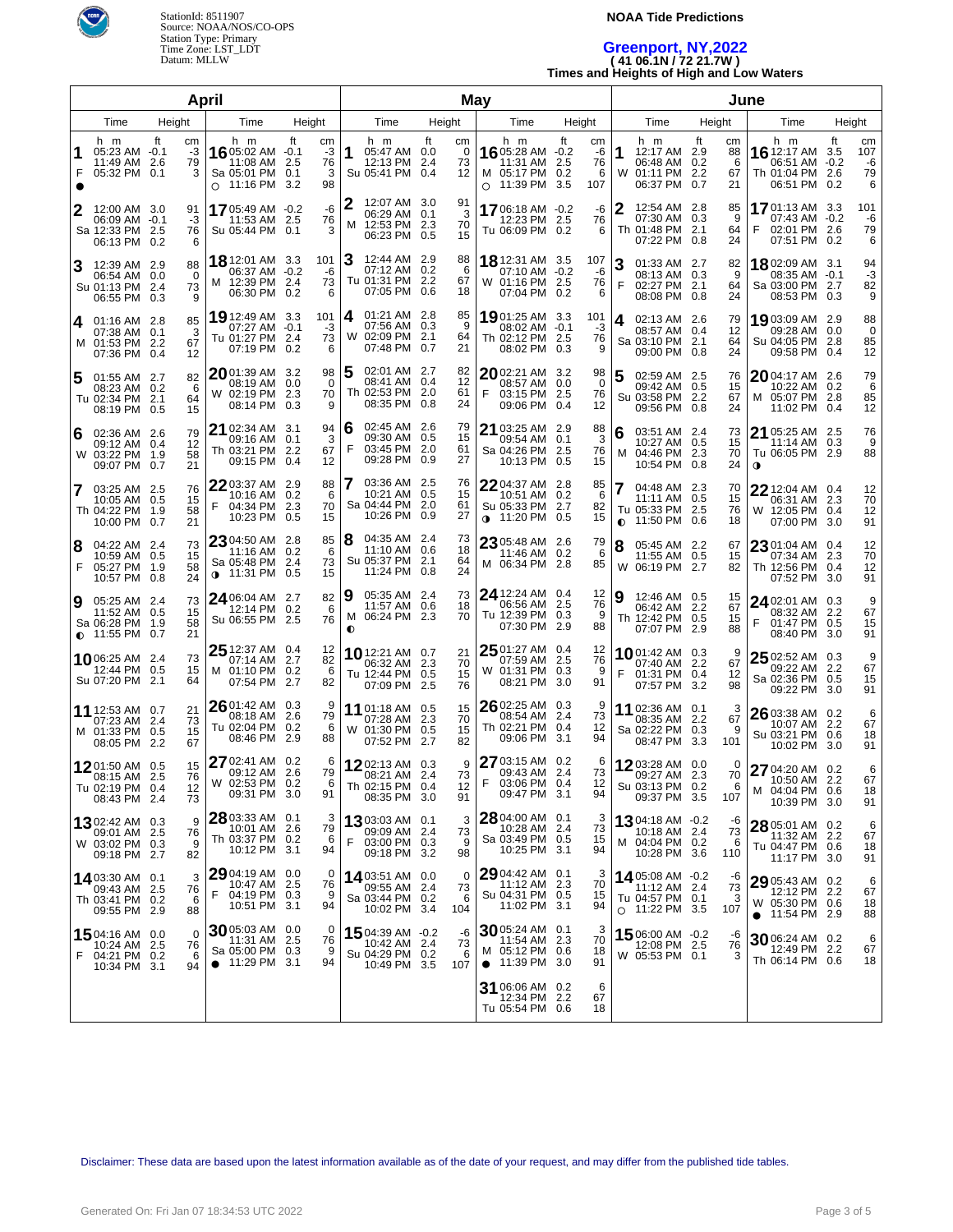

### **NOAA Tide Predictions**

# **Greenport, NY,2022 ( 41 06.1N / 72 21.7W )**

**Times and Heights of High and Low Waters**

| April          |                                                                     |    |                           |                                                                             |                          |                             |                     |                                                                     | May    |                      |           |                                                                       |                         |                            |        | June                                                                       |        |                           |                                                                             |                          |                            |
|----------------|---------------------------------------------------------------------|----|---------------------------|-----------------------------------------------------------------------------|--------------------------|-----------------------------|---------------------|---------------------------------------------------------------------|--------|----------------------|-----------|-----------------------------------------------------------------------|-------------------------|----------------------------|--------|----------------------------------------------------------------------------|--------|---------------------------|-----------------------------------------------------------------------------|--------------------------|----------------------------|
| Time<br>Height |                                                                     |    | Time                      | Height                                                                      |                          |                             | Time                |                                                                     | Height |                      | Time      |                                                                       | Height                  |                            | Time   |                                                                            | Height | Time                      |                                                                             | Height                   |                            |
| 1<br>F         | h m<br>$05:23$ AM $-0.1$<br>11:49 AM 2.6<br>05:32 PM 0.1            | ft | cm<br>-3<br>79<br>3       | h m<br>16 05:02 AM -0.1<br>11:08 AM<br>Sa 05:01 PM<br>$\circ$ 11:16 PM      | ft<br>2.5<br>0.1<br>-3.2 | cm<br>$-3$<br>76<br>3<br>98 | 1                   | h m<br>05:47 AM 0.0<br>12:13 PM 2.4<br>Su 05:41 PM 0.4              | ft     | cm<br>0<br>73<br>12  |           | h m<br>16 05:28 AM -0.2<br>11:31 AM<br>M 05:17 PM<br>$\circ$ 11:39 PM | ft<br>2.5<br>0.2<br>3.5 | cm<br>-6<br>76<br>6<br>107 | 1<br>W | h m<br>12:17 AM 2.9<br>06:48 AM 0.2<br>01:11 PM 2.2<br>06:37 PM 0.7        | ft     | cm<br>88<br>6<br>67<br>21 | h m<br><b>16</b> 12:17 AM<br>06:51 AM -0.2<br>Th 01:04 PM<br>06:51 PM       | ft<br>3.5<br>2.6<br>0.2  | cm<br>107<br>-6<br>79<br>6 |
| 2              | 12:00 AM 3.0<br>06:09 AM -0.1<br>Sa 12:33 PM 2.5<br>06:13 PM 0.2    |    | 91<br>-3<br>76<br>6       | 1705:49 AM -0.2<br>11:53 AM<br>Su 05:44 PM 0.1                              | -2.5                     | -6<br>76<br>3               | м                   | 12:07 AM 3.0<br>06:29 AM 0.1<br>12:53 PM 2.3<br>06:23 PM 0.5        |        | 91<br>3<br>70<br>15  |           | 1706:18 AM -0.2<br>12:23 PM 2.5<br>Tu 06:09 PM 0.2                    |                         | -6<br>76<br>6              | 2      | 12:54 AM 2.8<br>07:30 AM 0.3<br>Th 01:48 PM 2.1<br>07:22 PM 0.8            |        | 85<br>9<br>64<br>24       | 1701:13 AM 3.3<br>07:43 AM -0.2<br>02:01 PM 2.6<br>F<br>07:51 PM 0.2        |                          | 101<br>-6<br>79<br>6       |
| 3              | 12:39 AM 2.9<br>06:54 AM 0.0<br>Su 01:13 PM 2.4<br>06:55 PM 0.3     |    | 88<br>$\Omega$<br>73<br>9 | 18 12:01 AM 3.3<br>06:37 AM -0.2<br>M 12:39 PM<br>06:30 PM 0.2              | 2.4                      | 101<br>-6<br>73<br>6        | 3                   | 12:44 AM 2.9<br>07:12 AM 0.2<br>Tu 01:31 PM 2.2<br>07:05 PM 0.6     |        | 88<br>6<br>67<br>18  |           | 18 12:31 AM 3.5<br>07:10 AM<br>W 01:16 PM<br>07:04 PM 0.2             | $-0.2$<br>-2.5          | 107<br>-6<br>76<br>6       | 3<br>F | 01:33 AM 2.7<br>08:13 AM 0.3<br>02:27 PM 2.1<br>08:08 PM 0.8               |        | 82<br>9<br>64<br>24       | 1802:09 AM 3.1<br>08:35 AM -0.1<br>Sa 03:00 PM 2.7<br>08:53 PM 0.3          |                          | 94<br>-3<br>82<br>9        |
| 14.            | 01:16 AM 2.8<br>07:38 AM 0.1<br>M 01:53 PM 2.2<br>07:36 PM 0.4      |    | 85<br>3<br>67<br>12       | 19 12:49 AM 3.3<br>07:27 AM<br>Tu 01:27 PM<br>07:19 PM 0.2                  | $-0.1$<br>-2.4           | 101<br>-3<br>73<br>6        | 4                   | 01:21 AM 2.8<br>07:56 AM 0.3<br>W 02:09 PM 2.1<br>07:48 PM 0.7      |        | 85<br>9<br>64<br>21  |           | 1901:25 AM 3.3<br>08:02 AM<br>Th 02:12 PM<br>08:02 PM 0.3             | $-0.1$<br>-2.5          | 101<br>-3<br>76<br>9       | 4      | 02:13 AM 2.6<br>08:57 AM 0.4<br>Sa 03:10 PM 2.1<br>09:00 PM 0.8            |        | 79<br>12<br>64<br>24      | 19 03:09 AM<br>09:28 AM<br>Su 04:05 PM<br>09:58 PM                          | 2.9<br>0.0<br>2.8<br>0.4 | 88<br>0<br>85<br>12        |
| 5              | 01:55 AM 2.7<br>08:23 AM 0.2<br>Tu 02:34 PM 2.1<br>08:19 PM 0.5     |    | 82<br>6<br>64<br>15       | 2001:39 AM 3.2<br>08:19 AM<br>W 02:19 PM<br>08:14 PM                        | 0.0<br>2.3<br>0.3        | 98<br>$\Omega$<br>70<br>9   | 5                   | 02:01 AM 2.7<br>08:41 AM 0.4<br>Th 02:53 PM 2.0<br>08:35 PM 0.8     |        | 82<br>12<br>61<br>24 | F         | 2002:21 AM 3.2<br>08:57 AM<br>03:15 PM<br>09:06 PM                    | 0.0<br>2.5<br>0.4       | 98<br>$\Omega$<br>76<br>12 | 5      | 02:59 AM 2.5<br>09:42 AM 0.5<br>Su 03:58 PM 2.2<br>09:56 PM 0.8            |        | 76<br>15<br>67<br>24      | <b>20</b> 04:17 AM 2.6<br>10:22 AM 0.2<br>M 05:07 PM 2.8<br>11:02 PM        | 0.4                      | 79<br>6<br>85<br>12        |
| 6              | 02:36 AM 2.6<br>09:12 AM 0.4<br>W 03:22 PM 1.9<br>09:07 PM 0.7      |    | 79<br>12<br>58<br>21      | 21 02:34 AM 3.1<br>09:16 AM<br>Th 03:21 PM<br>09:15 PM                      | 0.1<br>-2.2<br>0.4       | 94<br>3<br>67<br>12         | 6<br>F              | 02:45 AM 2.6<br>09:30 AM 0.5<br>03:45 PM 2.0<br>09:28 PM 0.9        |        | 79<br>15<br>61<br>27 |           | 21 03:25 AM 2.9<br>09:54 AM<br>Sa 04:26 PM<br>10:13 PM                | 0.1<br>2.5<br>0.5       | 88<br>3<br>76<br>15        | 6<br>M | 03:51 AM 2.4<br>10:27 AM 0.5<br>04:46 PM 2.3<br>10:54 PM 0.8               |        | 73<br>15<br>70<br>24      | 21 05:25 AM 2.5<br>11:14 AM<br>Tu 06:05 PM 2.9<br>$\mathbf 0$               | 0.3                      | 76<br>9<br>88              |
| $\overline{7}$ | 03:25 AM 2.5<br>10:05 AM 0.5<br>Th 04:22 PM 1.9<br>10:00 PM 0.7     |    | 76<br>15<br>58<br>21      | 22 03:37 AM 2.9<br>10:16 AM<br>F.<br>04:34 PM<br>10:23 PM                   | 0.2<br>2.3<br>0.5        | 88<br>6<br>70<br>15         |                     | 03:36 AM 2.5<br>10:21 AM 0.5<br>Sa 04:44 PM 2.0<br>10:26 PM 0.9     |        | 76<br>15<br>61<br>27 |           | $2204:37$ AM 2.8<br>10:51 AM<br>Su 05:33 PM<br>∩ 11:20 PM             | 0.2<br>2.7<br>0.5       | 85<br>-6<br>82<br>15       |        | 04:48 AM 2.3<br>11:11 AM 0.5<br>Tu 05:33 PM 2.5<br>$\bullet$ 11:50 PM 0.6  |        | 70<br>15<br>76<br>18      | $22$ 12:04 AM 0.4<br>06:31 AM 2.3<br>W 12:05 PM 0.4<br>07:00 PM 3.0         |                          | 12<br>70<br>12<br>91       |
| 8<br>F         | 04:22 AM 2.4<br>10:59 AM 0.5<br>05:27 PM 1.9<br>10:57 PM 0.8        |    | 73<br>15<br>58<br>24      | 23 04:50 AM 2.8<br>11:16 AM<br>Sa 05:48 PM<br>$0$ 11:31 PM                  | 0.2<br>2.4<br>0.5        | 85<br>6<br>73<br>15         | 8                   | 04:35 AM 2.4<br>11:10 AM 0.6<br>Su 05:37 PM 2.1<br>11:24 PM 0.8     |        | 73<br>18<br>64<br>24 |           | $23$ 05:48 AM 2.6<br>11:46 AM<br>M 06:34 PM                           | 0.2<br>-2.8             | 79<br>- 6<br>85            | 8      | 05:45 AM 2.2<br>11:55 AM 0.5<br>W 06:19 PM 2.7                             |        | 67<br>15<br>82            | 23 01:04 AM 0.4<br>07:34 AM 2.3<br>Th 12:56 PM 0.4<br>07:52 PM 3.0          |                          | 12<br>70<br>12<br>91       |
| Ι9             | 05:25 AM 2.4<br>11:52 AM 0.5<br>Sa 06:28 PM 1.9<br>$0.11:55$ PM 0.7 |    | 73<br>15<br>58<br>21      | 24 06:04 AM 2.7<br>12:14 PM<br>Su 06:55 PM 2.5                              | 0.2                      | 82<br>6<br>76               | 9<br>M<br>$\bullet$ | 05:35 AM 2.4<br>11:57 AM 0.6<br>06:24 PM 2.3                        |        | 73<br>18<br>70       |           | <b>24</b> 12:24 AM 0.4<br>06:56 AM<br>Tu 12:39 PM 0.3<br>07:30 PM 2.9 | 2.5                     | 12<br>76<br>-9<br>88       | 9      | 12:46 AM 0.5<br>06:42 AM 2.2<br>Th 12:42 PM 0.5<br>07:07 PM 2.9            |        | 15<br>67<br>15<br>88      | 24 02:01 AM 0.3<br>08:32 AM 2.2<br>F<br>01:47 PM 0.5<br>08:40 PM 3.0        |                          | 9<br>67<br>15<br>91        |
|                | 1006:25 AM 2.4<br>12:44 PM 0.5<br>Su 07:20 PM 2.1                   |    | 73<br>15<br>64            | $25$ 12:37 AM 0.4<br>07:14 AM<br>M 01:10 PM 0.2<br>07:54 PM 2.7             | 2.7                      | 12<br>82<br>6<br>82         |                     | 1012:21 AM 0.7<br>06:32 AM 2.3<br>Tu 12:44 PM 0.5<br>07:09 PM 2.5   |        | 21<br>70<br>15<br>76 |           | $25$ 01:27 AM 0.4<br>07:59 AM<br>W 01:31 PM 0.3<br>08:21 PM           | 2.5<br>3.0              | 12<br>76<br>-9<br>91       |        | <b>10</b> 01:42 AM 0.3<br>07:40 AM 2.2<br>01:31 PM 0.4<br>07:57 PM 3.2     |        | 9<br>67<br>12<br>98       | $2502:52$ AM 0.3<br>09:22 AM<br>Sa 02:36 PM 0.5<br>09:22 PM 3.0             | 2.2                      | 9<br>67<br>15<br>91        |
|                | 11 12:53 AM 0.7<br>07:23 AM 2.4<br>M 01:33 PM 0.5<br>08:05 PM 2.2   |    | 21<br>73<br>15<br>67      | $2601:42AM$ 0.3<br>08:18 AM<br>Tu 02:04 PM<br>08:46 PM                      | 2.6<br>0.2<br>-2.9       | 9<br>79<br>6<br>88          |                     | 11 01:18 AM 0.5<br>07:28 AM 2.3<br>W 01:30 PM 0.5<br>07:52 PM 2.7   |        | 15<br>70<br>15<br>82 |           | $26$ 02:25 AM 0.3<br>08:54 AM<br>Th 02:21 PM<br>09:06 PM              | 2.4<br>0.4<br>3.1       | -9<br>73<br>12<br>94       |        | 11 02:36 AM 0.1<br>08:35 AM 2.2<br>Sa 02:22 PM 0.3<br>08:47 PM 3.3         |        | 3<br>67<br>9<br>101       | $2603:38$ AM 0.2<br>10:07 AM 2.2<br>Su 03:21 PM 0.6<br>10:02 PM 3.0         |                          | 6<br>67<br>18<br>91        |
|                | 1201:50 AM 0.5<br>08:15 AM 2.5<br>Tu 02:19 PM 0.4<br>08:43 PM 2.4   |    | 15<br>76<br>12<br>73      | 27 02:41 AM 0.2<br>09:12 AM 2.6<br>W 02:53 PM 0.2<br>09:31 PM 3.0           |                          | 6<br>79<br>6<br>91          |                     | 1202:13 AM 0.3<br>08:21 AM 2.4<br>Th 02:15 PM 0.4<br>08:35 PM 3.0   |        | 9<br>73<br>12<br>91  | F.        | 27 03:15 AM 0.2<br>09:43 AM 2.4<br>03:06 PM 0.4<br>09:47 PM 3.1       |                         | -6<br>73<br>12<br>94       |        | <b>12</b> 03:28 AM 0.0<br>09:27 AM 2.3<br>Su 03:13 PM 0.2<br>09:37 PM 3.5  |        | 0<br>70<br>6<br>107       | 27 04:20 AM 0.2<br>10:50 AM 2.2<br>M 04:04 PM 0.6<br>10:39 PM 3.0           |                          | 6<br>67<br>18<br>91        |
|                | 1302:42 AM 0.3<br>09:01 AM 2.5<br>W 03:02 PM 0.3<br>09:18 PM 2.7    |    | 9<br>76<br>9<br>82        | 28 03:33 AM 0.1<br>10:01 AM 2.6<br>Th 03:37 PM 0.2<br>10:12 PM 3.1          |                          | 3<br>79<br>6<br>94          | F                   | 13 03:03 AM 0.1<br>09:09 AM 2.4<br>03:00 PM 0.3<br>09:18 PM 3.2     |        | 3<br>73<br>9<br>98   |           | 28 04:00 AM 0.1<br>10:28 AM<br>Sa 03:49 PM 0.5<br>10:25 PM 3.1        | -2.4                    | 3<br>73<br>15<br>94        |        | 1304:18 AM -0.2<br>10:18 AM 2.4<br>M 04:04 PM 0.2<br>10:28 PM 3.6          |        | -6<br>73<br>6<br>110      | 28 05:01 AM 0.2<br>11:32 AM 2.2<br>Tu 04:47 PM 0.6<br>11:17 PM 3.0          |                          | 6<br>67<br>18<br>91        |
|                | 14 03:30 AM 0.1<br>09:43 AM 2.5<br>Th 03:41 PM 0.2<br>09:55 PM 2.9  |    | 3<br>76<br>6<br>88        | 29 04:19 AM 0.0<br>10:47 AM<br>F<br>04:19 PM 0.3<br>10:51 PM 3.1            | 2.5                      | 0<br>76<br>9<br>94          |                     | 1403:51 AM 0.0<br>09:55 AM 2.4<br>Sa 03:44 PM 0.2<br>10:02 PM 3.4   |        | 0<br>73<br>6<br>104  |           | $29$ 04:42 AM 0.1<br>11:12 AM<br>Su 04:31 PM 0.5<br>11:02 PM 3.1      | 2.3                     | 3<br>70<br>15<br>94        |        | 1405:08 AM -0.2<br>$11:12$ AM $2.4$<br>Tu 04:57 PM 0.1<br>$O$ 11:22 PM 3.5 |        | -6<br>73<br>3<br>107      | 29 05:43 AM 0.2<br>12:12 PM 2.2<br>W 05:30 PM 0.6<br>$\bullet$ 11:54 PM 2.9 |                          | 6<br>67<br>18<br>88        |
| F.             | 15 04:16 AM 0.0<br>10:24 AM 2.5<br>04:21 PM 0.2<br>10:34 PM 3.1     |    | $\Omega$<br>76<br>6<br>94 | 30 05:03 AM 0.0<br>11:31 AM<br>Sa 05:00 PM 0.3<br>11:29 PM 3.1<br>$\bullet$ | 2.5                      | 0<br>76<br>9<br>94          |                     | 15 04:39 AM -0.2<br>10:42 AM 2.4<br>Su 04:29 PM 0.2<br>10:49 PM 3.5 |        | -6<br>73<br>6<br>107 | $\bullet$ | 30 05:24 AM 0.1<br>11:54 AM<br>M 05:12 PM 0.6<br>11:39 PM 3.0         | -2.3                    | 3<br>70<br>18<br>91        |        | 1506:00 AM -0.2<br>12:08 PM 2.5<br>W 05:53 PM 0.1                          |        | -6<br>76<br>3             | 3006:24 AM 0.2<br>12:49 PM 2.2<br>Th 06:14 PM 0.6                           |                          | 6<br>67<br>18              |
|                |                                                                     |    |                           |                                                                             |                          |                             |                     |                                                                     |        |                      |           | 31 06:06 AM 0.2<br>12:34 PM 2.2<br>Tu 05:54 PM 0.6                    |                         | 6<br>67<br>18              |        |                                                                            |        |                           |                                                                             |                          |                            |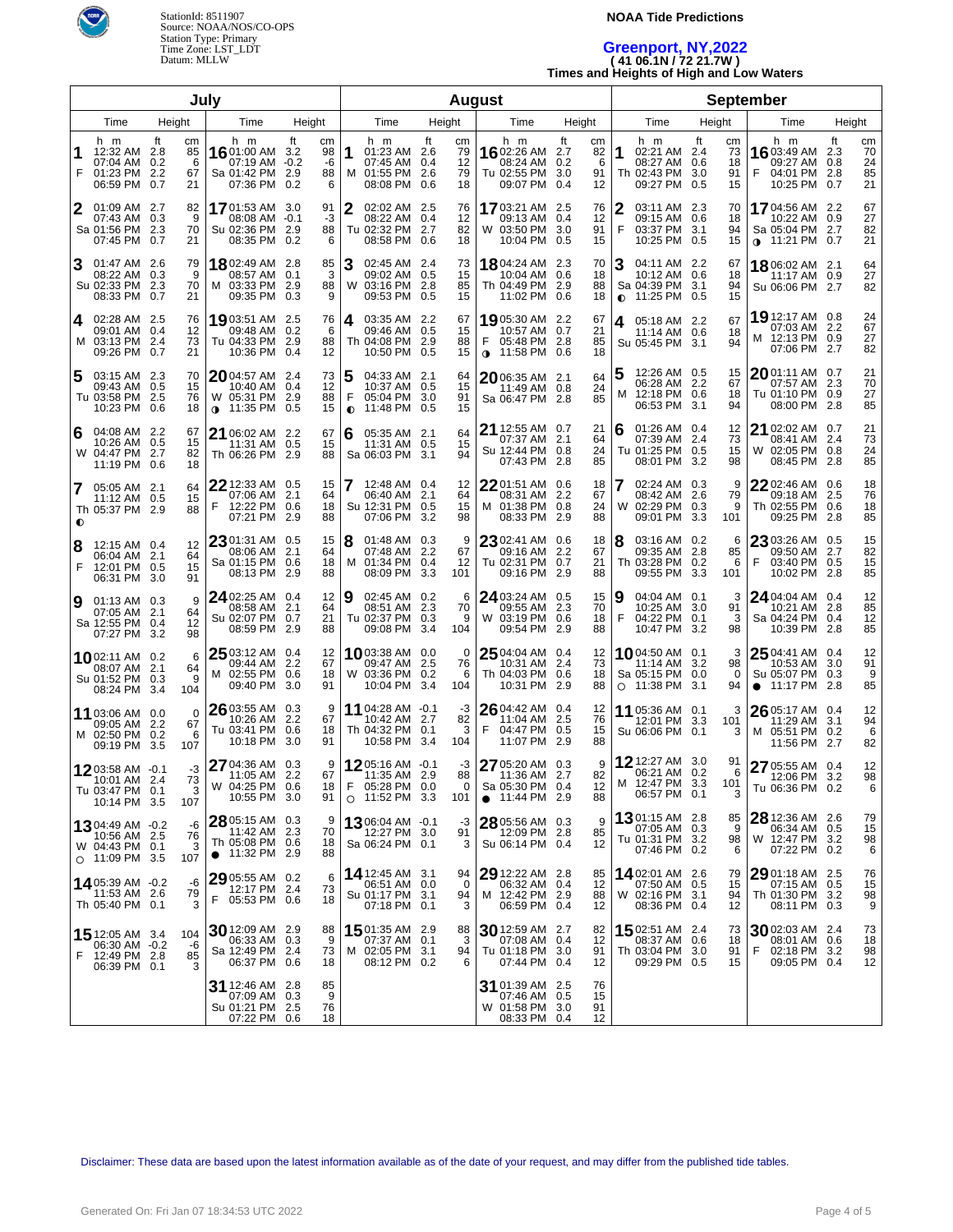

### **NOAA Tide Predictions**

# **Greenport, NY,2022 ( 41 06.1N / 72 21.7W )**

**Times and Heights of High and Low Waters**

|                        |                                                                              |                  | July                      |                                                                               |                                 |                     |                                                                                   |        |                             | <b>August</b>                                                                       |                                                             |                |                                                                                    |                                  |                                                                                     |    |                            |
|------------------------|------------------------------------------------------------------------------|------------------|---------------------------|-------------------------------------------------------------------------------|---------------------------------|---------------------|-----------------------------------------------------------------------------------|--------|-----------------------------|-------------------------------------------------------------------------------------|-------------------------------------------------------------|----------------|------------------------------------------------------------------------------------|----------------------------------|-------------------------------------------------------------------------------------|----|----------------------------|
| Time<br>Height<br>Time |                                                                              |                  |                           | Height                                                                        |                                 | Time                |                                                                                   | Height | Time                        | Height                                                                              |                                                             | Time           | Height                                                                             | Time                             | Height                                                                              |    |                            |
| 1<br>F                 | h m<br>12:32 AM<br>07:04 AM 0.2<br>01:23 PM<br>06:59 PM 0.7                  | ft<br>2.8<br>2.2 | сm<br>85<br>6<br>67<br>21 | h m<br>16 01:00 AM 3.2<br>07:19 AM -0.2<br>Sa 01:42 PM 2.9<br>07:36 PM 0.2    | ft<br>cm<br>98<br>-6<br>88<br>6 | 1                   | h m<br>01:23 AM 2.6<br>07:45 AM 0.4<br>M 01:55 PM 2.6<br>08:08 PM 0.6             | ft     | сm<br>79<br>12<br>79<br>18  | h m<br>1602:26 AM<br>08:24 AM<br>Tu 02:55 PM<br>09:07 PM                            | ft<br>cm<br>2.7<br>82<br>0.2<br>6<br>3.0<br>91<br>0.4<br>12 | 1              | h m<br>02:21 AM 2.4<br>08:27 AM 0.6<br>Th 02:43 PM 3.0<br>09:27 PM 0.5             | ft<br>cm<br>73<br>18<br>91<br>15 | h m<br><b>16</b> 03:49 AM 2.3<br>09:27 AM 0.8<br>04:01 PM 2.8<br>F<br>10:25 PM 0.7  | ft | cm<br>70<br>24<br>85<br>21 |
| 2                      | 01:09 AM 2.7<br>07:43 AM 0.3<br>Sa 01:56 PM<br>07:45 PM 0.7                  | 2.3              | 82<br>9<br>70<br>21       | 1701:53 AM 3.0<br>08:08 AM -0.1<br>Su 02:36 PM 2.9<br>08:35 PM 0.2            | 91<br>-3<br>88<br>6             | 2                   | 02:02 AM 2.5<br>08:22 AM 0.4<br>Tu 02:32 PM 2.7<br>08:58 PM 0.6                   |        | 76<br>12<br>82<br>18        | <b>17</b> 03:21 AM<br>09:13 AM<br>W 03:50 PM<br>10:04 PM 0.5                        | 2.5<br>76<br>0.4<br>12<br>3.0<br>91<br>15                   | 2<br>F         | 03:11 AM 2.3<br>03:37 PM 3.1<br>10:25 PM 0.5                                       | 70<br>18<br>94<br>15             | <b>17</b> 04:56 AM 2.2<br>10:22 AM 0.9<br>Sa 05:04 PM 2.7<br>$\bullet$ 11:21 PM 0.7 |    | 67<br>27<br>82<br>21       |
| З                      | 01:47 AM 2.6<br>08:22 AM 0.3<br>Su 02:33 PM<br>08:33 PM 0.7                  | 2.3              | 79<br>9<br>70<br>21       | 18 02:49 AM 2.8<br>08:57 AM 0.1<br>M 03:33 PM 2.9<br>09:35 PM 0.3             | 85<br>3<br>88<br>9              | 3                   | 02:45 AM 2.4<br>09:02 AM 0.5<br>W 03:16 PM 2.8<br>09:53 PM 0.5                    |        | 73<br>15<br>85<br>15        | 1804:24 AM<br>10:04 AM<br>Th 04:49 PM 2.9<br>11:02 PM 0.6                           | 2.3<br>70<br>0.6<br>18<br>88<br>18                          | 3<br>$\bullet$ | 04:11 AM 2.2<br>10:12 AM 0.6<br>Sa 04:39 PM 3.1<br>11:25 PM 0.5                    | 67<br>18<br>94<br>15             | 18 06:02 AM 2.1<br>11:17 AM 0.9<br>Su 06:06 PM 2.7                                  |    | 64<br>27<br>82             |
| 4                      | 02:28 AM 2.5<br>09:01 AM 0.4<br>M 03:13 PM<br>09:26 PM 0.7                   | -2.4             | 76<br>12<br>73<br>21      | 1903:51 AM 2.5<br>09:48 AM 0.2<br>Tu 04:33 PM 2.9<br>10:36 PM 0.4             | 76<br>6<br>88<br>12             | 4                   | 03:35 AM 2.2<br>09:46 AM 0.5<br>Th 04:08 PM 2.9<br>10:50 PM 0.5                   |        | 67<br>15<br>88<br>15        | 19 05:30 AM 2.2<br>10:57 AM 0.7<br>F<br>05:48 PM 2.8<br>$\bullet$ 11:58 PM 0.6      | 67<br>21<br>85<br>18                                        | 4              | 05:18 AM 2.2<br>11:14 AM 0.6<br>Su 05:45 PM 3.1                                    | 67<br>18<br>94                   | 19 12:17 AM 0.8<br>07:03 AM 2.2<br>M 12:13 PM 0.9<br>07:06 PM 2.7                   |    | 24<br>67<br>27<br>82       |
| 5                      | 03:15 AM 2.3<br>09:43 AM 0.5<br>Tu 03:58 PM<br>10:23 PM 0.6                  | -2.5             | 70<br>15<br>76<br>18      | $20$ 04:57 AM 2.4<br>10:40 AM 0.4<br>W 05:31 PM 2.9<br>$\bullet$ 11:35 PM 0.5 | 73<br>12<br>88<br>15            | 5<br>F<br>$\bullet$ | 04:33 AM 2.1<br>10:37 AM 0.5<br>05:04 PM 3.0<br>11:48 PM 0.5                      |        | 64<br>15<br>91<br>15        | $20$ 06:35 AM 2.1<br>11:49 AM 0.8<br>Sa 06:47 PM 2.8                                | 64<br>24<br>85                                              | м              | 12:26 AM 0.5<br>06:28 AM 2.2<br>12:18 PM 0.6<br>06:53 PM 3.1                       | 15<br>67<br>18<br>94             | <b>20</b> 01:11 AM 0.7<br>07:57 AM 2.3<br>Tu 01:10 PM 0.9<br>08:00 PM 2.8           |    | 21<br>70<br>27<br>85       |
| 6                      | 04:08 AM 2.2<br>10:26 AM 0.5<br>W 04:47 PM<br>11:19 PM 0.6                   | 2.7              | 67<br>15<br>82<br>18      | 21 06:02 AM 2.2<br>11:31 AM 0.5<br>Th 06:26 PM 2.9                            | 67<br>15<br>88                  | 6                   | 05:35 AM 2.1<br>11:31 AM 0.5<br>Sa 06:03 PM 3.1                                   |        | 64<br>15<br>94              | 21 12:55 AM 0.7<br>07:37 AM 2.1<br>Su 12:44 PM 0.8<br>07:43 PM                      | 21<br>64<br>24<br>2.8<br>85                                 | 6              | 01:26 AM 0.4<br>07:39 AM 2.4<br>Tu 01:25 PM 0.5<br>08:01 PM 3.2                    | 12<br>73<br>15<br>98             | 21 02:02 AM 0.7<br>08:41 AM 2.4<br>W 02:05 PM 0.8<br>08:45 PM 2.8                   |    | 21<br>73<br>24<br>85       |
| 7<br>$\bullet$         | 05:05 AM 2.1<br>11:12 AM 0.5<br>Th 05:37 PM 2.9                              |                  | 64<br>15<br>88            | 22 12:33 AM 0.5<br>07:06 AM 2.1<br>F<br>12:22 PM 0.6<br>07:21 PM 2.9          | 15<br>64<br>18<br>88            |                     | 12:48 AM 0.4<br>06:40 AM 2.1<br>Su 12:31 PM 0.5<br>07:06 PM 3.2                   |        | 12<br>64<br>15<br>98        | $22$ 01:51 AM 0.6<br>08:31 AM 2.2<br>M 01:38 PM 0.8<br>08:33 PM                     | 18<br>67<br>24<br>2.9<br>88                                 |                | 02:24 AM 0.3<br>08:42 AM 2.6<br>W 02:29 PM 0.3<br>09:01 PM 3.3                     | 9<br>79<br>9<br>101              | 22 02:46 AM 0.6<br>09:18 AM 2.5<br>Th 02:55 PM 0.6<br>09:25 PM 2.8                  |    | 18<br>76<br>18<br>85       |
| 8<br>F                 | 12:15 AM 0.4<br>06:04 AM 2.1<br>12:01 PM 0.5<br>06:31 PM 3.0                 |                  | 12<br>64<br>15<br>91      | 23 01:31 AM 0.5<br>08:06 AM 2.1<br>Sa 01:15 PM 0.6<br>08:13 PM 2.9            | 15<br>64<br>18<br>88            | 8<br>M              | 01:48 AM 0.3<br>07:48 AM 2.2<br>01:34 PM 0.4<br>08:09 PM 3.3                      |        | 9<br>67<br>12<br>101        | $2302:41$ AM 0.6<br>09:16 AM 2.2<br>Tu 02:31 PM 0.7<br>09:16 PM                     | 18<br>67<br>21<br>2.9<br>88                                 | 8              | 03:16 AM 0.2<br>09:35 AM 2.8<br>Th 03:28 PM 0.2<br>09:55 PM 3.3                    | 6<br>85<br>6<br>101              | 23 03:26 AM 0.5<br>09:50 AM 2.7<br>F<br>03:40 PM 0.5<br>10:02 PM 2.8                |    | 15<br>82<br>15<br>85       |
| 9                      | $01:13$ AM $0.3$<br>07:05 AM 2.1<br>Sa 12:55 PM 0.4<br>07:27 PM 3.2          |                  | 9<br>64<br>12<br>98       | 24 02:25 AM 0.4<br>08:58 AM 2.1<br>Su 02:07 PM 0.7<br>08:59 PM 2.9            | 12<br>64<br>21<br>88            | 9                   | 02:45 AM 0.2<br>08:51 AM 2.3<br>Tu 02:37 PM 0.3<br>09:08 PM 3.4                   |        | 6<br>70<br>9<br>104         | 24 03:24 AM 0.5<br>09:55 AM 2.3<br>W 03:19 PM 0.6<br>09:54 PM                       | 15<br>70<br>18<br>2.9<br>88                                 | 9<br>F         | 04:04 AM 0.1<br>10:25 AM 3.0<br>04:22 PM 0.1<br>10:47 PM 3.2                       | 3<br>91<br>3<br>98               | 24 04:04 AM 0.4<br>10:21 AM 2.8<br>Sa 04:24 PM 0.4<br>10:39 PM 2.8                  |    | 12<br>85<br>12<br>85       |
|                        | 1002:11 AM 0.2<br>08:07 AM 2.1<br>Su 01:52 PM 0.3<br>08:24 PM 3.4            |                  | 6<br>64<br>9<br>104       | 25 03:12 AM 0.4<br>09:44 AM 2.2<br>M 02:55 PM 0.6<br>09:40 PM 3.0             | 12<br>67<br>18<br>91            |                     | 1003:38 AM 0.0<br>09:47 AM 2.5<br>W 03:36 PM 0.2<br>10:04 PM 3.4                  |        | 0<br>76<br>6<br>104         | $25\frac{04:04 \text{ AM}}{0.3}$ 0.4<br>10:31 AM 2.4<br>Th 04:03 PM 0.6<br>10:31 PM | 12<br>73<br>18<br>2.9<br>88                                 |                | $10^{04:50 \text{ AM}}$ 0.1<br>11:14 AM 3.2<br>Sa 05:15 PM 0.0<br>$O$ 11:38 PM 3.1 | 3<br>98<br>0<br>94               | $2504:41$ AM $0.4$<br>10:53 AM 3.0<br>Su 05:07 PM 0.3<br>$\bullet$ 11:17 PM 2.8     |    | 12<br>91<br>9<br>85        |
|                        | 11 03:06 AM 0.0<br>09:05 AM<br>M 02:50 PM 0.2<br>09:19 PM 3.5                | 2.2              | 0<br>67<br>6<br>107       | 26 03:55 AM 0.3<br>10:26 AM 2.2<br>Tu 03:41 PM 0.6<br>10:18 PM 3.0            | 9<br>67<br>18<br>91             |                     | 11 04:28 AM -0.1<br>10:42 AM 2.7<br>Th 04:32 PM 0.1<br>10:58 PM 3.4               |        | -3<br>82<br>3<br>104        | $2604:42$ AM $0.4$<br>11:04 AM 2.5<br>F<br>04:47 PM 0.5<br>11:07 PM                 | 12<br>76<br>15<br>2.9<br>88                                 |                | 11 05:36 AM 0.1<br>12:01 PM 3.3<br>Su 06:06 PM 0.1                                 | 3<br>101<br>3                    | 26 05:17 AM 0.4<br>11:29 AM 3.1<br>M 05:51 PM 0.2<br>11:56 PM 2.7                   |    | 12<br>94<br>6<br>82        |
|                        | $12^{03:58 \text{ AM } -0.1}$<br>10:01 AM<br>Tu 03:47 PM 0.1<br>10:14 PM 3.5 | 2.4              | -3<br>73<br>3<br>107      | $2704:36$ AM 0.3<br>11:05 AM 2.2<br>W 04:25 PM 0.6<br>10:55 PM 3.0            | 9<br>67<br>18<br>91             | F                   | $12^{05:16 \text{ AM } -0.1}$<br>11:35 AM 2.9<br>05:28 PM 0.0<br>$O$ 11:52 PM 3.3 |        | -3<br>88<br>$\Omega$<br>101 | 27 05:20 AM 0.3<br>11:36 AM 2.7<br>Sa 05:30 PM 0.4<br>$\bullet$ 11:44 PM 2.9        | 9<br>82<br>12<br>88                                         |                | <b>12</b> 12:27 AM 3.0<br>06:21 AM 0.2<br>M 12:47 PM 3.3<br>06:57 PM 0.1           | 91<br>6<br>101<br>3              | 27 05:55 AM 0.4<br>12:06 PM 3.2<br>Tu 06:36 PM 0.2                                  |    | 12<br>98<br>6              |
|                        | 1304:49 AM -0.2<br>10:56 AM 2.5<br>W 04:43 PM 0.1<br>$O$ 11:09 PM 3.5        |                  | -6<br>76<br>3<br>107      | 28 05:15 AM 0.3<br>11:42 AM 2.3<br>Th 05:08 PM 0.6<br>$\bullet$ 11:32 PM 2.9  | 9<br>70<br>18<br>88             |                     | 1306:04 AM -0.1<br>12:27 PM 3.0<br>Sa 06:24 PM 0.1                                |        | -3<br>91<br>3               | 28 05:56 AM 0.3<br>12:09 PM 2.8<br>Su 06:14 PM 0.4                                  | 9<br>85<br>12                                               |                | <b>13</b> 01:15 AM 2.8<br>07:05 AM 0.3<br>Tu 01:31 PM 3.2<br>07:46 PM 0.2          | 85<br>9<br>98<br>6               | 28 12:36 AM 2.6<br>06:34 AM 0.5<br>W 12:47 PM 3.2<br>07:22 PM 0.2                   |    | 79<br>15<br>98<br>6        |
|                        | 1405:39 AM -0.2<br>11:53 AM 2.6<br>Th 05:40 PM 0.1                           |                  | -6<br>79<br>3             | $2905:55$ AM 0.2<br>12:17 PM 2.4<br>F<br>05:53 PM 0.6                         | 6<br>73<br>18                   |                     | 14 12:45 AM 3.1<br>06:51 AM 0.0<br>Su 01:17 PM 3.1<br>07:18 PM 0.1                |        | 94<br>0<br>94<br>3          | 29 12:22 AM 2.8<br>06:32 AM 0.4<br>M 12:42 PM 2.9<br>06:59 PM 0.4                   | 85<br>12<br>88<br>12                                        |                | 1402:01 AM 2.6<br>07:50 AM 0.5<br>W 02:16 PM 3.1<br>08:36 PM 0.4                   | 79<br>15<br>94<br>12             | 29 01:18 AM 2.5<br>07:15 AM 0.5<br>Th 01:30 PM 3.2<br>08:11 PM 0.3                  |    | 76<br>15<br>98<br>9        |
| F                      | 15 12:05 AM 3.4<br>06:30 AM -0.2<br>12:49 PM 2.8<br>06:39 PM 0.1             |                  | 104<br>-6<br>85           | $30$ 12:09 AM 2.9<br>06:33 AM 0.3<br>Sa 12:49 PM 2.4<br>06:37 PM 0.6          | 88<br>-9<br>73<br>18            |                     | <b>15</b> 01:35 AM 2.9<br>07:37 AM 0.1<br>M 02:05 PM 3.1<br>08:12 PM 0.2          |        | 88<br>3<br>94<br>6          | $30$ 12:59 AM 2.7<br>07:08 AM 0.4<br>Tu 01:18 PM 3.0<br>07:44 PM 0.4                | 82<br>12<br>91<br>12                                        |                | <b>15</b> 02:51 AM 2.4<br>08:37 AM 0.6<br>Th 03:04 PM 3.0<br>09:29 PM 0.5          | 73<br>18<br>91<br>15             | 3002:03 AM 2.4<br>08:01 AM 0.6<br>02:18 PM 3.2<br>F<br>09:05 PM 0.4                 |    | 73<br>18<br>98<br>12       |
|                        |                                                                              |                  |                           | 31 12:46 AM 2.8<br>07:09 AM 0.3<br>Su 01:21 PM 2.5<br>07:22 PM 0.6            | 85<br>9<br>76<br>18             |                     |                                                                                   |        |                             | 31 01:39 AM 2.5<br>07:46 AM 0.5<br>W 01:58 PM 3.0<br>08:33 PM 0.4                   | 76<br>15<br>91<br>12                                        |                |                                                                                    |                                  |                                                                                     |    |                            |